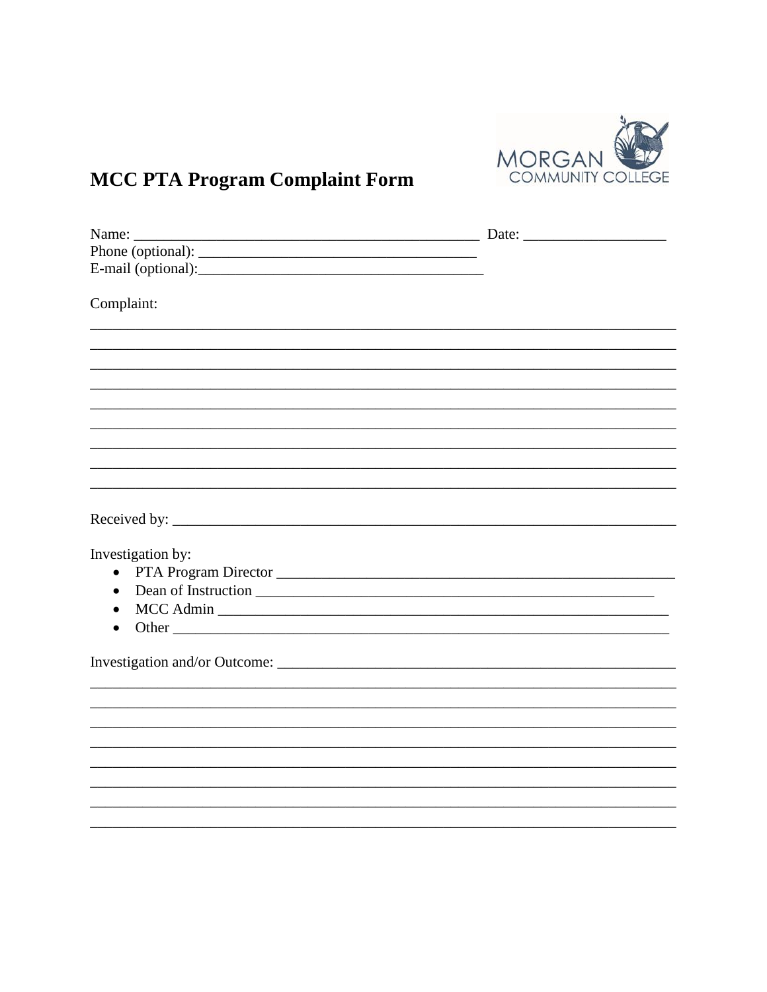

# **MCC PTA Program Complaint Form**

| Complaint:             |  |
|------------------------|--|
|                        |  |
|                        |  |
|                        |  |
|                        |  |
|                        |  |
|                        |  |
|                        |  |
|                        |  |
|                        |  |
|                        |  |
|                        |  |
|                        |  |
| Investigation by:      |  |
| $\bullet$              |  |
| $\bullet$              |  |
| MCC Admin<br>$\bullet$ |  |
| Other                  |  |
|                        |  |
|                        |  |
|                        |  |
|                        |  |
|                        |  |
|                        |  |
|                        |  |
|                        |  |
|                        |  |
|                        |  |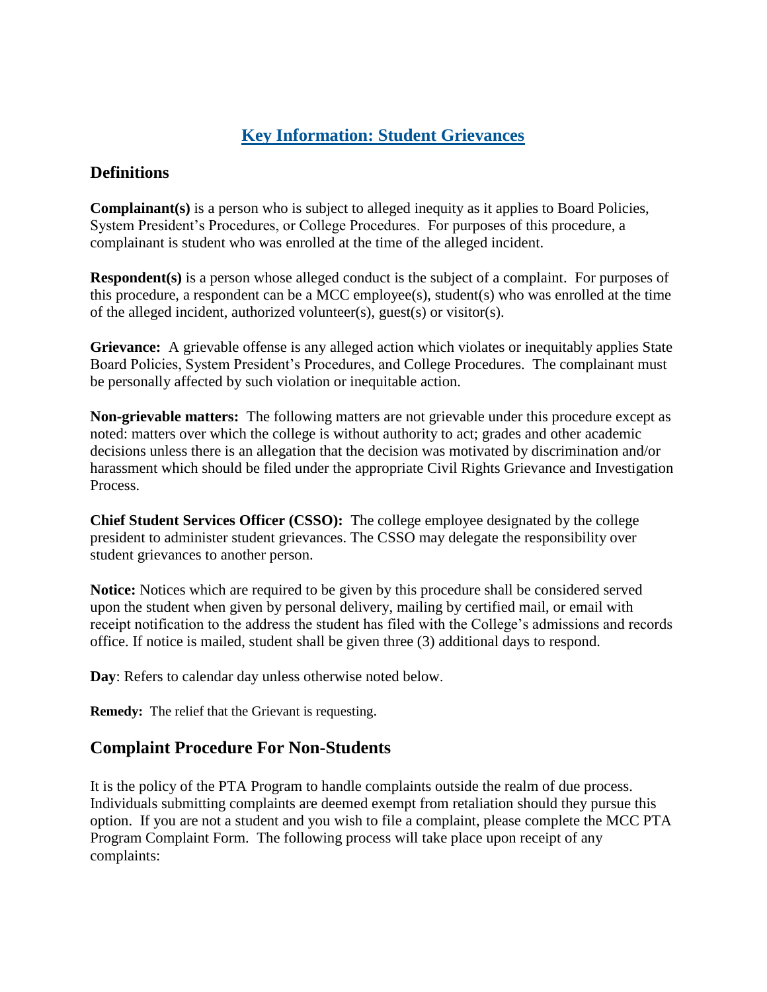# **Key Information: Student Grievances**

### **Definitions**

**Complainant(s)** is a person who is subject to alleged inequity as it applies to Board Policies, System President's Procedures, or College Procedures. For purposes of this procedure, a complainant is student who was enrolled at the time of the alleged incident.

**Respondent(s)** is a person whose alleged conduct is the subject of a complaint. For purposes of this procedure, a respondent can be a MCC employee(s), student(s) who was enrolled at the time of the alleged incident, authorized volunteer(s), guest(s) or visitor(s).

**Grievance:** A grievable offense is any alleged action which violates or inequitably applies State Board Policies, System President's Procedures, and College Procedures. The complainant must be personally affected by such violation or inequitable action.

**Non-grievable matters:** The following matters are not grievable under this procedure except as noted: matters over which the college is without authority to act; grades and other academic decisions unless there is an allegation that the decision was motivated by discrimination and/or harassment which should be filed under the appropriate Civil Rights Grievance and Investigation Process.

**Chief Student Services Officer (CSSO):** The college employee designated by the college president to administer student grievances. The CSSO may delegate the responsibility over student grievances to another person.

**Notice:** Notices which are required to be given by this procedure shall be considered served upon the student when given by personal delivery, mailing by certified mail, or email with receipt notification to the address the student has filed with the College's admissions and records office. If notice is mailed, student shall be given three (3) additional days to respond.

**Day**: Refers to calendar day unless otherwise noted below.

**Remedy:** The relief that the Grievant is requesting.

#### **Complaint Procedure For Non-Students**

It is the policy of the PTA Program to handle complaints outside the realm of due process. Individuals submitting complaints are deemed exempt from retaliation should they pursue this option. If you are not a student and you wish to file a complaint, please complete the MCC PTA Program Complaint Form. The following process will take place upon receipt of any complaints: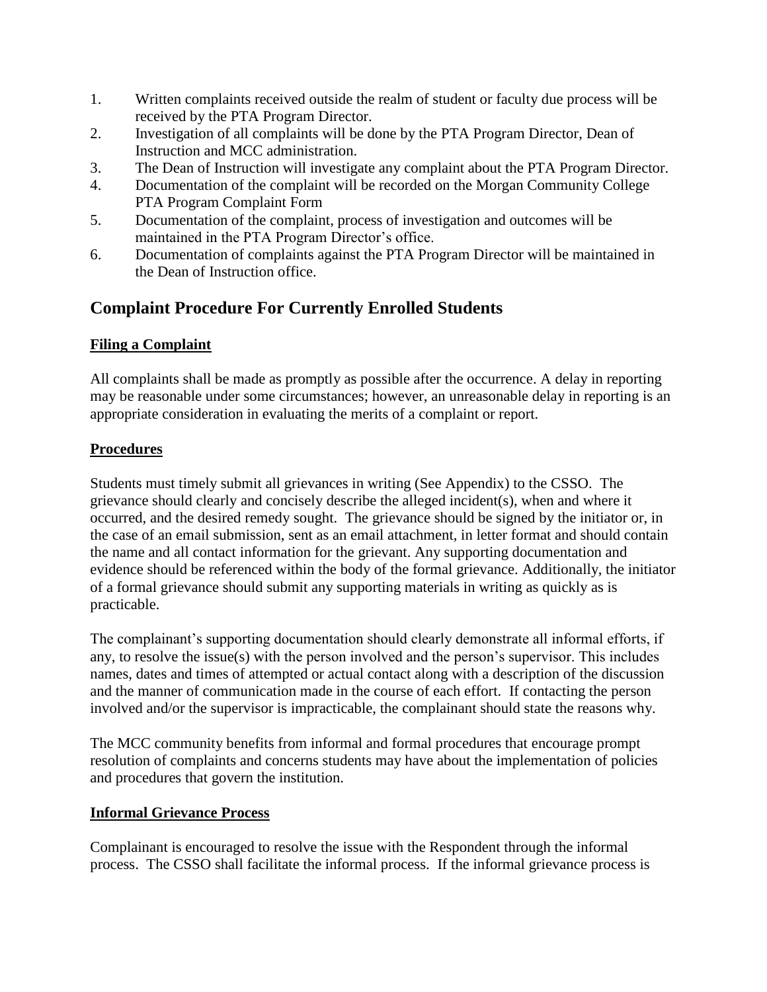- 1. Written complaints received outside the realm of student or faculty due process will be received by the PTA Program Director.
- 2. Investigation of all complaints will be done by the PTA Program Director, Dean of Instruction and MCC administration.
- 3. The Dean of Instruction will investigate any complaint about the PTA Program Director.
- 4. Documentation of the complaint will be recorded on the Morgan Community College PTA Program Complaint Form
- 5. Documentation of the complaint, process of investigation and outcomes will be maintained in the PTA Program Director's office.
- 6. Documentation of complaints against the PTA Program Director will be maintained in the Dean of Instruction office.

# **Complaint Procedure For Currently Enrolled Students**

## **Filing a Complaint**

All complaints shall be made as promptly as possible after the occurrence. A delay in reporting may be reasonable under some circumstances; however, an unreasonable delay in reporting is an appropriate consideration in evaluating the merits of a complaint or report.

## **Procedures**

Students must timely submit all grievances in writing (See Appendix) to the CSSO. The grievance should clearly and concisely describe the alleged incident(s), when and where it occurred, and the desired remedy sought. The grievance should be signed by the initiator or, in the case of an email submission, sent as an email attachment, in letter format and should contain the name and all contact information for the grievant. Any supporting documentation and evidence should be referenced within the body of the formal grievance. Additionally, the initiator of a formal grievance should submit any supporting materials in writing as quickly as is practicable.

The complainant's supporting documentation should clearly demonstrate all informal efforts, if any, to resolve the issue(s) with the person involved and the person's supervisor. This includes names, dates and times of attempted or actual contact along with a description of the discussion and the manner of communication made in the course of each effort. If contacting the person involved and/or the supervisor is impracticable, the complainant should state the reasons why.

The MCC community benefits from informal and formal procedures that encourage prompt resolution of complaints and concerns students may have about the implementation of policies and procedures that govern the institution.

## **Informal Grievance Process**

Complainant is encouraged to resolve the issue with the Respondent through the informal process. The CSSO shall facilitate the informal process. If the informal grievance process is